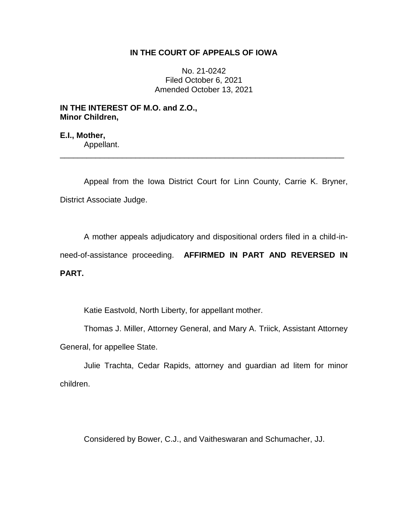### **IN THE COURT OF APPEALS OF IOWA**

No. 21-0242 Filed October 6, 2021 Amended October 13, 2021

## **IN THE INTEREST OF M.O. and Z.O., Minor Children,**

**E.I., Mother,** Appellant. \_\_\_\_\_\_\_\_\_\_\_\_\_\_\_\_\_\_\_\_\_\_\_\_\_\_\_\_\_\_\_\_\_\_\_\_\_\_\_\_\_\_\_\_\_\_\_\_\_\_\_\_\_\_\_\_\_\_\_\_\_\_\_\_

Appeal from the Iowa District Court for Linn County, Carrie K. Bryner, District Associate Judge.

A mother appeals adjudicatory and dispositional orders filed in a child-inneed-of-assistance proceeding. **AFFIRMED IN PART AND REVERSED IN PART.**

Katie Eastvold, North Liberty, for appellant mother.

Thomas J. Miller, Attorney General, and Mary A. Triick, Assistant Attorney General, for appellee State.

Julie Trachta, Cedar Rapids, attorney and guardian ad litem for minor children.

Considered by Bower, C.J., and Vaitheswaran and Schumacher, JJ.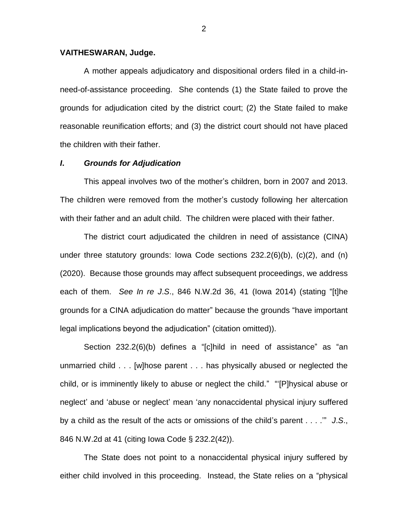#### **VAITHESWARAN, Judge.**

A mother appeals adjudicatory and dispositional orders filed in a child-inneed-of-assistance proceeding. She contends (1) the State failed to prove the grounds for adjudication cited by the district court; (2) the State failed to make reasonable reunification efforts; and (3) the district court should not have placed the children with their father.

### *I***.** *Grounds for Adjudication*

This appeal involves two of the mother's children, born in 2007 and 2013. The children were removed from the mother's custody following her altercation with their father and an adult child. The children were placed with their father.

The district court adjudicated the children in need of assistance (CINA) under three statutory grounds: Iowa Code sections  $232.2(6)(b)$ ,  $(c)(2)$ , and  $(n)$ (2020). Because those grounds may affect subsequent proceedings, we address each of them. *See In re J*.*S*., 846 N.W.2d 36, 41 (Iowa 2014) (stating "[t]he grounds for a CINA adjudication do matter" because the grounds "have important legal implications beyond the adjudication" (citation omitted)).

Section 232.2(6)(b) defines a "[c]hild in need of assistance" as "an unmarried child . . . [w]hose parent . . . has physically abused or neglected the child, or is imminently likely to abuse or neglect the child." "'[P]hysical abuse or neglect' and 'abuse or neglect' mean 'any nonaccidental physical injury suffered by a child as the result of the acts or omissions of the child's parent . . . .'" *J*.*S*., 846 N.W.2d at 41 (citing Iowa Code § 232.2(42)).

The State does not point to a nonaccidental physical injury suffered by either child involved in this proceeding. Instead, the State relies on a "physical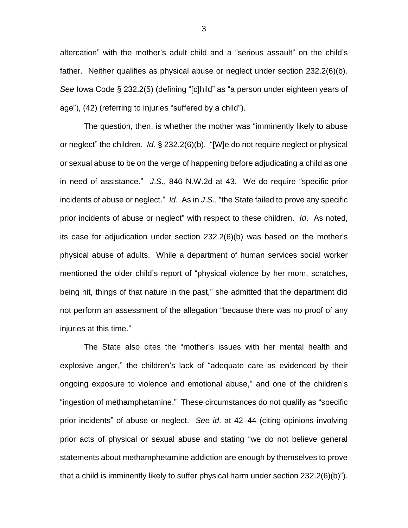altercation" with the mother's adult child and a "serious assault" on the child's father. Neither qualifies as physical abuse or neglect under section 232.2(6)(b). *See* Iowa Code § 232.2(5) (defining "[c]hild" as "a person under eighteen years of age"), (42) (referring to injuries "suffered by a child").

The question, then, is whether the mother was "imminently likely to abuse or neglect" the children. *Id*. § 232.2(6)(b). "[W]e do not require neglect or physical or sexual abuse to be on the verge of happening before adjudicating a child as one in need of assistance." *J*.*S*., 846 N.W.2d at 43. We do require "specific prior incidents of abuse or neglect." *Id*. As in *J*.*S*., "the State failed to prove any specific prior incidents of abuse or neglect" with respect to these children. *Id*. As noted, its case for adjudication under section 232.2(6)(b) was based on the mother's physical abuse of adults. While a department of human services social worker mentioned the older child's report of "physical violence by her mom, scratches, being hit, things of that nature in the past," she admitted that the department did not perform an assessment of the allegation "because there was no proof of any injuries at this time."

The State also cites the "mother's issues with her mental health and explosive anger," the children's lack of "adequate care as evidenced by their ongoing exposure to violence and emotional abuse," and one of the children's "ingestion of methamphetamine." These circumstances do not qualify as "specific prior incidents" of abuse or neglect. *See id*. at 42–44 (citing opinions involving prior acts of physical or sexual abuse and stating "we do not believe general statements about methamphetamine addiction are enough by themselves to prove that a child is imminently likely to suffer physical harm under section 232.2(6)(b)").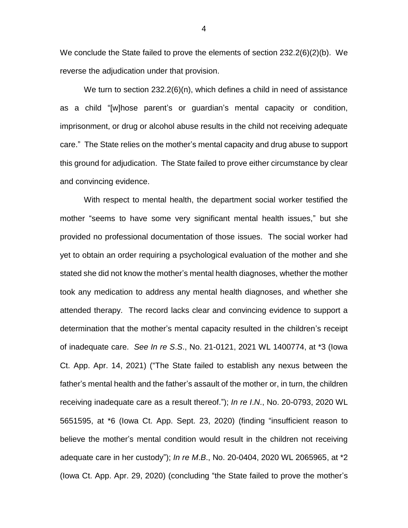We conclude the State failed to prove the elements of section 232.2(6)(2)(b). We reverse the adjudication under that provision.

We turn to section  $232.2(6)(n)$ , which defines a child in need of assistance as a child "[w]hose parent's or guardian's mental capacity or condition, imprisonment, or drug or alcohol abuse results in the child not receiving adequate care." The State relies on the mother's mental capacity and drug abuse to support this ground for adjudication. The State failed to prove either circumstance by clear and convincing evidence.

With respect to mental health, the department social worker testified the mother "seems to have some very significant mental health issues," but she provided no professional documentation of those issues.The social worker had yet to obtain an order requiring a psychological evaluation of the mother and she stated she did not know the mother's mental health diagnoses, whether the mother took any medication to address any mental health diagnoses, and whether she attended therapy. The record lacks clear and convincing evidence to support a determination that the mother's mental capacity resulted in the children's receipt of inadequate care. *See In re S*.*S*., No. 21-0121, 2021 WL 1400774, at \*3 (Iowa Ct. App. Apr. 14, 2021) ("The State failed to establish any nexus between the father's mental health and the father's assault of the mother or, in turn, the children receiving inadequate care as a result thereof."); *In re I*.*N*., No. 20-0793, 2020 WL 5651595, at \*6 (Iowa Ct. App. Sept. 23, 2020) (finding "insufficient reason to believe the mother's mental condition would result in the children not receiving adequate care in her custody"); *In re M*.*B*., No. 20-0404, 2020 WL 2065965, at \*2 (Iowa Ct. App. Apr. 29, 2020) (concluding "the State failed to prove the mother's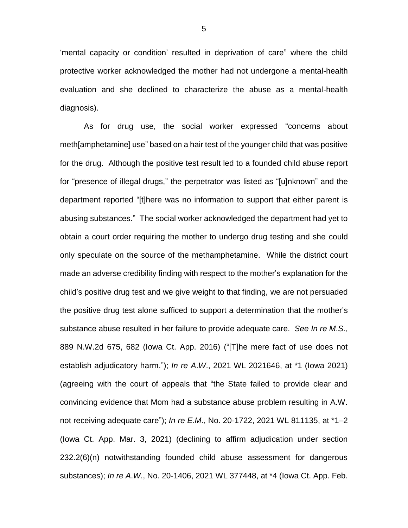'mental capacity or condition' resulted in deprivation of care" where the child protective worker acknowledged the mother had not undergone a mental-health evaluation and she declined to characterize the abuse as a mental-health diagnosis).

As for drug use, the social worker expressed "concerns about meth[amphetamine] use" based on a hair test of the younger child that was positive for the drug. Although the positive test result led to a founded child abuse report for "presence of illegal drugs," the perpetrator was listed as "[u]nknown" and the department reported "[t]here was no information to support that either parent is abusing substances." The social worker acknowledged the department had yet to obtain a court order requiring the mother to undergo drug testing and she could only speculate on the source of the methamphetamine. While the district court made an adverse credibility finding with respect to the mother's explanation for the child's positive drug test and we give weight to that finding, we are not persuaded the positive drug test alone sufficed to support a determination that the mother's substance abuse resulted in her failure to provide adequate care. *See In re M*.*S*., 889 N.W.2d 675, 682 (Iowa Ct. App. 2016) ("[T]he mere fact of use does not establish adjudicatory harm."); *In re A*.*W*., 2021 WL 2021646, at \*1 (Iowa 2021) (agreeing with the court of appeals that "the State failed to provide clear and convincing evidence that Mom had a substance abuse problem resulting in A.W. not receiving adequate care"); *In re E*.*M*., No. 20-1722, 2021 WL 811135, at \*1–2 (Iowa Ct. App. Mar. 3, 2021) (declining to affirm adjudication under section 232.2(6)(n) notwithstanding founded child abuse assessment for dangerous substances); *In re A*.*W*., No. 20-1406, 2021 WL 377448, at \*4 (Iowa Ct. App. Feb.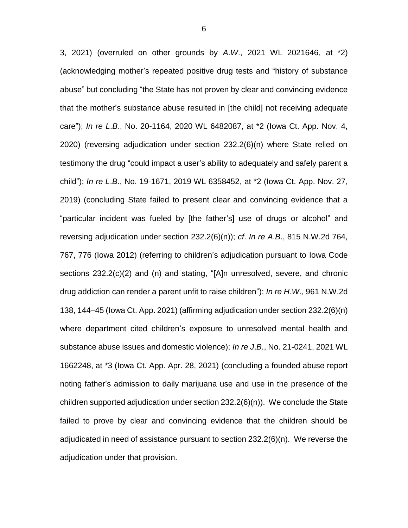3, 2021) (overruled on other grounds by *A*.*W*., 2021 WL 2021646, at \*2) (acknowledging mother's repeated positive drug tests and "history of substance abuse" but concluding "the State has not proven by clear and convincing evidence that the mother's substance abuse resulted in [the child] not receiving adequate care"); *In re L*.*B*., No. 20-1164, 2020 WL 6482087, at \*2 (Iowa Ct. App. Nov. 4, 2020) (reversing adjudication under section 232.2(6)(n) where State relied on testimony the drug "could impact a user's ability to adequately and safely parent a child"); *In re L*.*B*., No. 19-1671, 2019 WL 6358452, at \*2 (Iowa Ct. App. Nov. 27, 2019) (concluding State failed to present clear and convincing evidence that a "particular incident was fueled by [the father's] use of drugs or alcohol" and reversing adjudication under section 232.2(6)(n)); *cf*. *In re A*.*B*., 815 N.W.2d 764, 767, 776 (Iowa 2012) (referring to children's adjudication pursuant to Iowa Code sections 232.2(c)(2) and (n) and stating, "[A]n unresolved, severe, and chronic drug addiction can render a parent unfit to raise children"); *In re H*.*W*., 961 N.W.2d 138, 144–45 (Iowa Ct. App. 2021) (affirming adjudication under section 232.2(6)(n) where department cited children's exposure to unresolved mental health and substance abuse issues and domestic violence); *In re J*.*B*., No. 21-0241, 2021 WL 1662248, at \*3 (Iowa Ct. App. Apr. 28, 2021) (concluding a founded abuse report noting father's admission to daily marijuana use and use in the presence of the children supported adjudication under section 232.2(6)(n)). We conclude the State failed to prove by clear and convincing evidence that the children should be adjudicated in need of assistance pursuant to section 232.2(6)(n). We reverse the adjudication under that provision.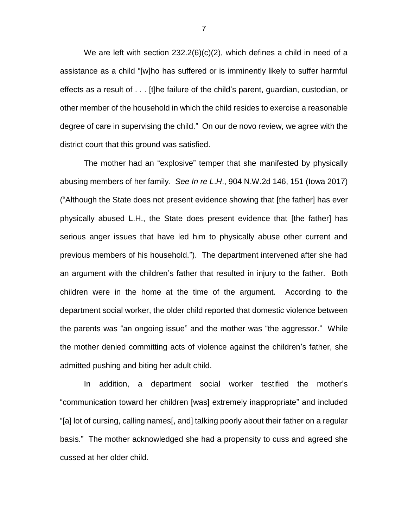We are left with section 232.2(6)(c)(2), which defines a child in need of a assistance as a child "[w]ho has suffered or is imminently likely to suffer harmful effects as a result of . . . [t]he failure of the child's parent, guardian, custodian, or other member of the household in which the child resides to exercise a reasonable degree of care in supervising the child." On our de novo review, we agree with the district court that this ground was satisfied.

The mother had an "explosive" temper that she manifested by physically abusing members of her family. *See In re L*.*H*., 904 N.W.2d 146, 151 (Iowa 2017) ("Although the State does not present evidence showing that [the father] has ever physically abused L.H., the State does present evidence that [the father] has serious anger issues that have led him to physically abuse other current and previous members of his household."). The department intervened after she had an argument with the children's father that resulted in injury to the father. Both children were in the home at the time of the argument. According to the department social worker, the older child reported that domestic violence between the parents was "an ongoing issue" and the mother was "the aggressor." While the mother denied committing acts of violence against the children's father, she admitted pushing and biting her adult child.

In addition, a department social worker testified the mother's "communication toward her children [was] extremely inappropriate" and included "[a] lot of cursing, calling names[, and] talking poorly about their father on a regular basis." The mother acknowledged she had a propensity to cuss and agreed she cussed at her older child.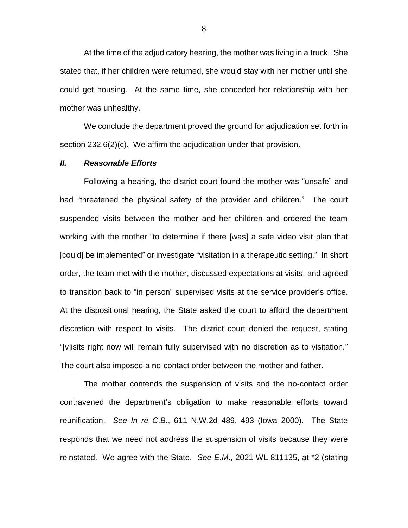At the time of the adjudicatory hearing, the mother was living in a truck. She stated that, if her children were returned, she would stay with her mother until she could get housing. At the same time, she conceded her relationship with her mother was unhealthy.

We conclude the department proved the ground for adjudication set forth in section 232.6(2)(c). We affirm the adjudication under that provision.

#### *II. Reasonable Efforts*

Following a hearing, the district court found the mother was "unsafe" and had "threatened the physical safety of the provider and children." The court suspended visits between the mother and her children and ordered the team working with the mother "to determine if there [was] a safe video visit plan that [could] be implemented" or investigate "visitation in a therapeutic setting." In short order, the team met with the mother, discussed expectations at visits, and agreed to transition back to "in person" supervised visits at the service provider's office. At the dispositional hearing, the State asked the court to afford the department discretion with respect to visits. The district court denied the request, stating "[v]isits right now will remain fully supervised with no discretion as to visitation." The court also imposed a no-contact order between the mother and father.

The mother contends the suspension of visits and the no-contact order contravened the department's obligation to make reasonable efforts toward reunification. *See In re C*.*B*., 611 N.W.2d 489, 493 (Iowa 2000). The State responds that we need not address the suspension of visits because they were reinstated. We agree with the State. *See E*.*M*., 2021 WL 811135, at \*2 (stating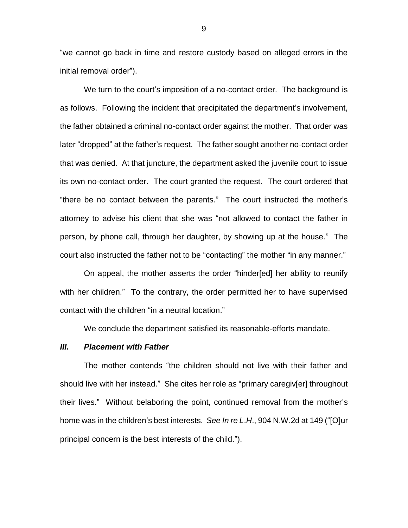"we cannot go back in time and restore custody based on alleged errors in the initial removal order").

We turn to the court's imposition of a no-contact order. The background is as follows. Following the incident that precipitated the department's involvement, the father obtained a criminal no-contact order against the mother. That order was later "dropped" at the father's request. The father sought another no-contact order that was denied. At that juncture, the department asked the juvenile court to issue its own no-contact order. The court granted the request. The court ordered that "there be no contact between the parents." The court instructed the mother's attorney to advise his client that she was "not allowed to contact the father in person, by phone call, through her daughter, by showing up at the house." The court also instructed the father not to be "contacting" the mother "in any manner."

On appeal, the mother asserts the order "hinder[ed] her ability to reunify with her children." To the contrary, the order permitted her to have supervised contact with the children "in a neutral location."

We conclude the department satisfied its reasonable-efforts mandate.

#### *III. Placement with Father*

The mother contends "the children should not live with their father and should live with her instead." She cites her role as "primary caregiv[er] throughout their lives." Without belaboring the point, continued removal from the mother's home was in the children's best interests. *See In re L*.*H*., 904 N.W.2d at 149 ("[O]ur principal concern is the best interests of the child.").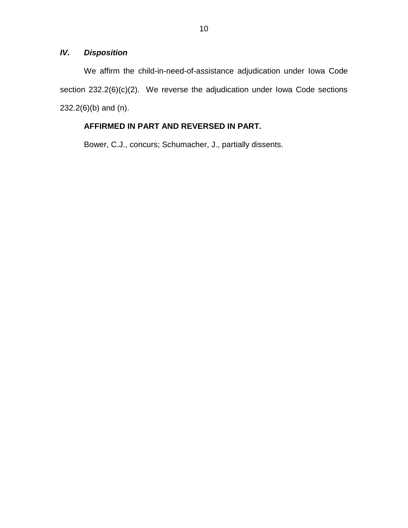## *IV. Disposition*

We affirm the child-in-need-of-assistance adjudication under Iowa Code section 232.2(6)(c)(2). We reverse the adjudication under Iowa Code sections 232.2(6)(b) and (n).

# **AFFIRMED IN PART AND REVERSED IN PART.**

Bower, C.J., concurs; Schumacher, J., partially dissents.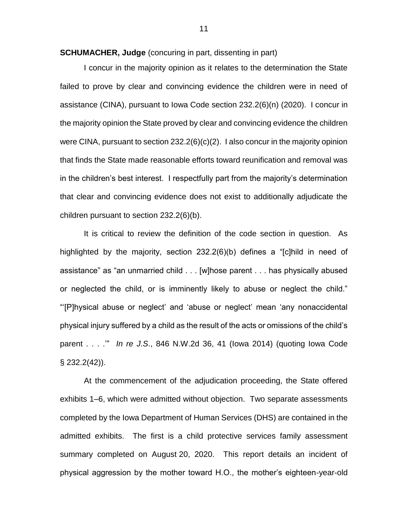**SCHUMACHER, Judge** (concuring in part, dissenting in part)

I concur in the majority opinion as it relates to the determination the State failed to prove by clear and convincing evidence the children were in need of assistance (CINA), pursuant to Iowa Code section 232.2(6)(n) (2020). I concur in the majority opinion the State proved by clear and convincing evidence the children were CINA, pursuant to section 232.2(6)(c)(2). I also concur in the majority opinion that finds the State made reasonable efforts toward reunification and removal was in the children's best interest. I respectfully part from the majority's determination that clear and convincing evidence does not exist to additionally adjudicate the children pursuant to section 232.2(6)(b).

It is critical to review the definition of the code section in question. As highlighted by the majority, section 232.2(6)(b) defines a "[c]hild in need of assistance" as "an unmarried child . . . [w]hose parent . . . has physically abused or neglected the child, or is imminently likely to abuse or neglect the child." "'[P]hysical abuse or neglect' and 'abuse or neglect' mean 'any nonaccidental physical injury suffered by a child as the result of the acts or omissions of the child's parent . . . .'" *In re J*.*S*., 846 N.W.2d 36, 41 (Iowa 2014) (quoting Iowa Code § 232.2(42)).

At the commencement of the adjudication proceeding, the State offered exhibits 1–6, which were admitted without objection. Two separate assessments completed by the Iowa Department of Human Services (DHS) are contained in the admitted exhibits. The first is a child protective services family assessment summary completed on August 20, 2020. This report details an incident of physical aggression by the mother toward H.O., the mother's eighteen-year-old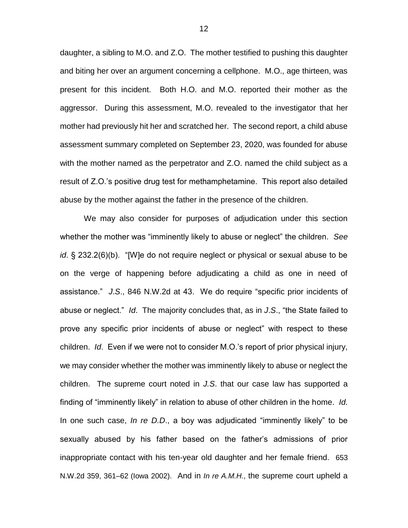daughter, a sibling to M.O. and Z.O. The mother testified to pushing this daughter and biting her over an argument concerning a cellphone. M.O., age thirteen, was present for this incident. Both H.O. and M.O. reported their mother as the aggressor. During this assessment, M.O. revealed to the investigator that her mother had previously hit her and scratched her. The second report, a child abuse assessment summary completed on September 23, 2020, was founded for abuse with the mother named as the perpetrator and Z.O. named the child subject as a result of Z.O.'s positive drug test for methamphetamine. This report also detailed abuse by the mother against the father in the presence of the children.

We may also consider for purposes of adjudication under this section whether the mother was "imminently likely to abuse or neglect" the children. *See id*. § 232.2(6)(b). "[W]e do not require neglect or physical or sexual abuse to be on the verge of happening before adjudicating a child as one in need of assistance." *J*.*S*., 846 N.W.2d at 43. We do require "specific prior incidents of abuse or neglect." *Id*. The majority concludes that, as in *J*.*S*., "the State failed to prove any specific prior incidents of abuse or neglect" with respect to these children. *Id*. Even if we were not to consider M.O.'s report of prior physical injury, we may consider whether the mother was imminently likely to abuse or neglect the children. The supreme court noted in *J.S*. that our case law has supported a finding of "imminently likely" in relation to abuse of other children in the home. *Id.* In one such case, *In re D.D*., a boy was adjudicated "imminently likely" to be sexually abused by his father based on the father's admissions of prior inappropriate contact with his ten-year old daughter and her female friend. 653 N.W.2d 359, 361–62 (Iowa 2002). And in *In re A.M.H.*, the supreme court upheld a